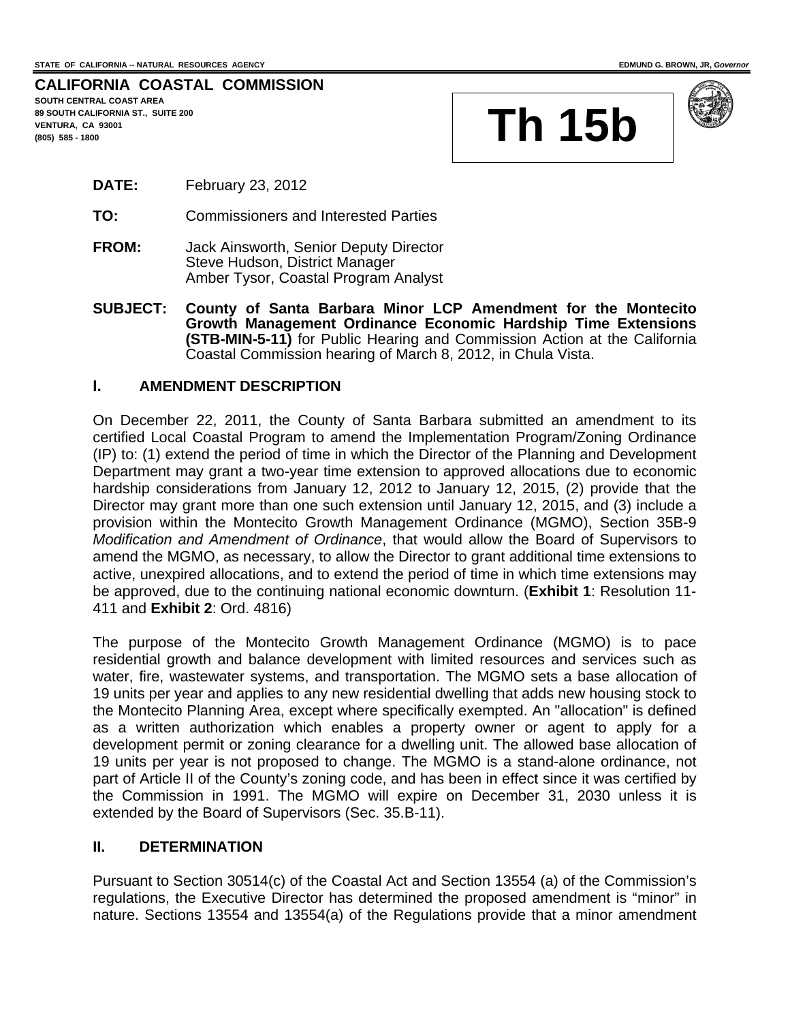#### **CALIFORNIA COASTAL COMMISSION SOUTH CENTRAL COAST AREA**

**89 SOUTH CALIFORNIA ST., SUITE 200 VENTURA, CA 93001** 





- **DATE:** February 23, 2012
- **TO:** Commissioners and Interested Parties
- **FROM:** Jack Ainsworth, Senior Deputy Director Steve Hudson, District Manager Amber Tysor, Coastal Program Analyst
- **SUBJECT: County of Santa Barbara Minor LCP Amendment for the Montecito Growth Management Ordinance Economic Hardship Time Extensions (STB-MIN-5-11)** for Public Hearing and Commission Action at the California Coastal Commission hearing of March 8, 2012, in Chula Vista.

## **I. AMENDMENT DESCRIPTION**

On December 22, 2011, the County of Santa Barbara submitted an amendment to its certified Local Coastal Program to amend the Implementation Program/Zoning Ordinance (IP) to: (1) extend the period of time in which the Director of the Planning and Development Department may grant a two-year time extension to approved allocations due to economic hardship considerations from January 12, 2012 to January 12, 2015, (2) provide that the Director may grant more than one such extension until January 12, 2015, and (3) include a provision within the Montecito Growth Management Ordinance (MGMO), Section 35B-9 *Modification and Amendment of Ordinance*, that would allow the Board of Supervisors to amend the MGMO, as necessary, to allow the Director to grant additional time extensions to active, unexpired allocations, and to extend the period of time in which time extensions may be approved, due to the continuing national economic downturn. (**Exhibit 1**: Resolution 11- 411 and **Exhibit 2**: Ord. 4816)

The purpose of the Montecito Growth Management Ordinance (MGMO) is to pace residential growth and balance development with limited resources and services such as water, fire, wastewater systems, and transportation. The MGMO sets a base allocation of 19 units per year and applies to any new residential dwelling that adds new housing stock to the Montecito Planning Area, except where specifically exempted. An "allocation" is defined as a written authorization which enables a property owner or agent to apply for a development permit or zoning clearance for a dwelling unit. The allowed base allocation of 19 units per year is not proposed to change. The MGMO is a stand-alone ordinance, not part of Article II of the County's zoning code, and has been in effect since it was certified by the Commission in 1991. The MGMO will expire on December 31, 2030 unless it is extended by the Board of Supervisors (Sec. 35.B-11).

## **II. DETERMINATION**

Pursuant to Section 30514(c) of the Coastal Act and Section 13554 (a) of the Commission's regulations, the Executive Director has determined the proposed amendment is "minor" in nature. Sections 13554 and 13554(a) of the Regulations provide that a minor amendment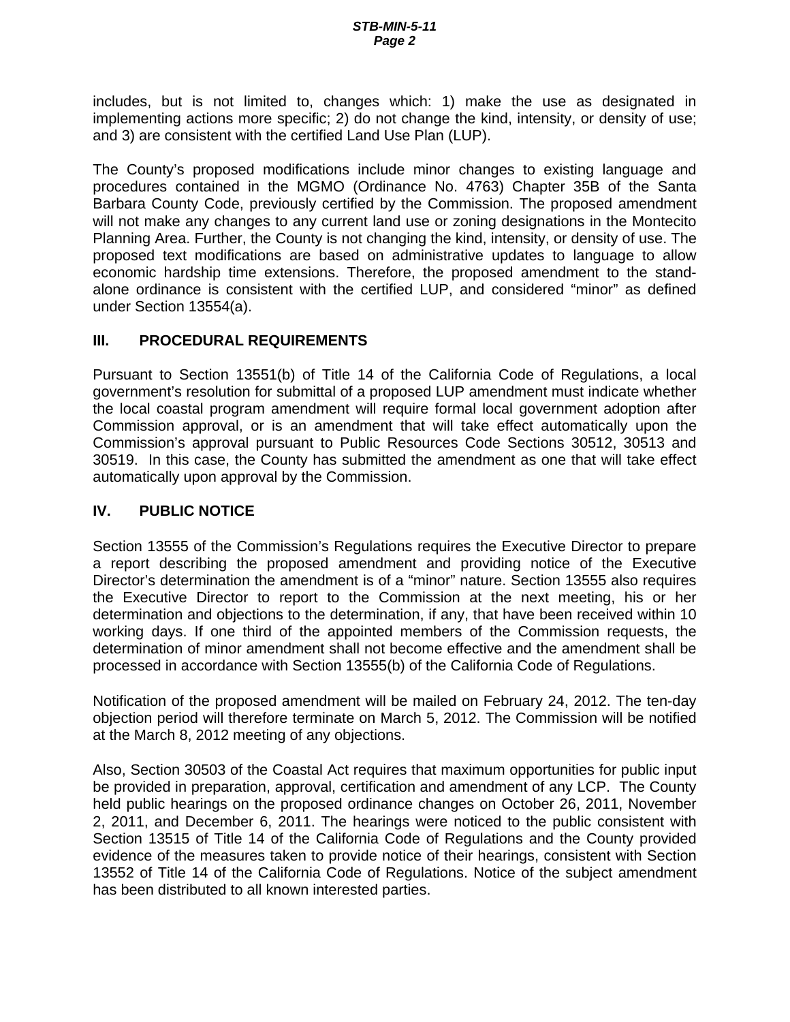includes, but is not limited to, changes which: 1) make the use as designated in implementing actions more specific; 2) do not change the kind, intensity, or density of use; and 3) are consistent with the certified Land Use Plan (LUP).

The County's proposed modifications include minor changes to existing language and procedures contained in the MGMO (Ordinance No. 4763) Chapter 35B of the Santa Barbara County Code, previously certified by the Commission. The proposed amendment will not make any changes to any current land use or zoning designations in the Montecito Planning Area. Further, the County is not changing the kind, intensity, or density of use. The proposed text modifications are based on administrative updates to language to allow economic hardship time extensions. Therefore, the proposed amendment to the standalone ordinance is consistent with the certified LUP, and considered "minor" as defined under Section 13554(a).

# **III. PROCEDURAL REQUIREMENTS**

Pursuant to Section 13551(b) of Title 14 of the California Code of Regulations, a local government's resolution for submittal of a proposed LUP amendment must indicate whether the local coastal program amendment will require formal local government adoption after Commission approval, or is an amendment that will take effect automatically upon the Commission's approval pursuant to Public Resources Code Sections 30512, 30513 and 30519. In this case, the County has submitted the amendment as one that will take effect automatically upon approval by the Commission.

# **IV. PUBLIC NOTICE**

Section 13555 of the Commission's Regulations requires the Executive Director to prepare a report describing the proposed amendment and providing notice of the Executive Director's determination the amendment is of a "minor" nature. Section 13555 also requires the Executive Director to report to the Commission at the next meeting, his or her determination and objections to the determination, if any, that have been received within 10 working days. If one third of the appointed members of the Commission requests, the determination of minor amendment shall not become effective and the amendment shall be processed in accordance with Section 13555(b) of the California Code of Regulations.

Notification of the proposed amendment will be mailed on February 24, 2012. The ten-day objection period will therefore terminate on March 5, 2012. The Commission will be notified at the March 8, 2012 meeting of any objections.

Also, Section 30503 of the Coastal Act requires that maximum opportunities for public input be provided in preparation, approval, certification and amendment of any LCP. The County held public hearings on the proposed ordinance changes on October 26, 2011, November 2, 2011, and December 6, 2011. The hearings were noticed to the public consistent with Section 13515 of Title 14 of the California Code of Regulations and the County provided evidence of the measures taken to provide notice of their hearings, consistent with Section 13552 of Title 14 of the California Code of Regulations. Notice of the subject amendment has been distributed to all known interested parties.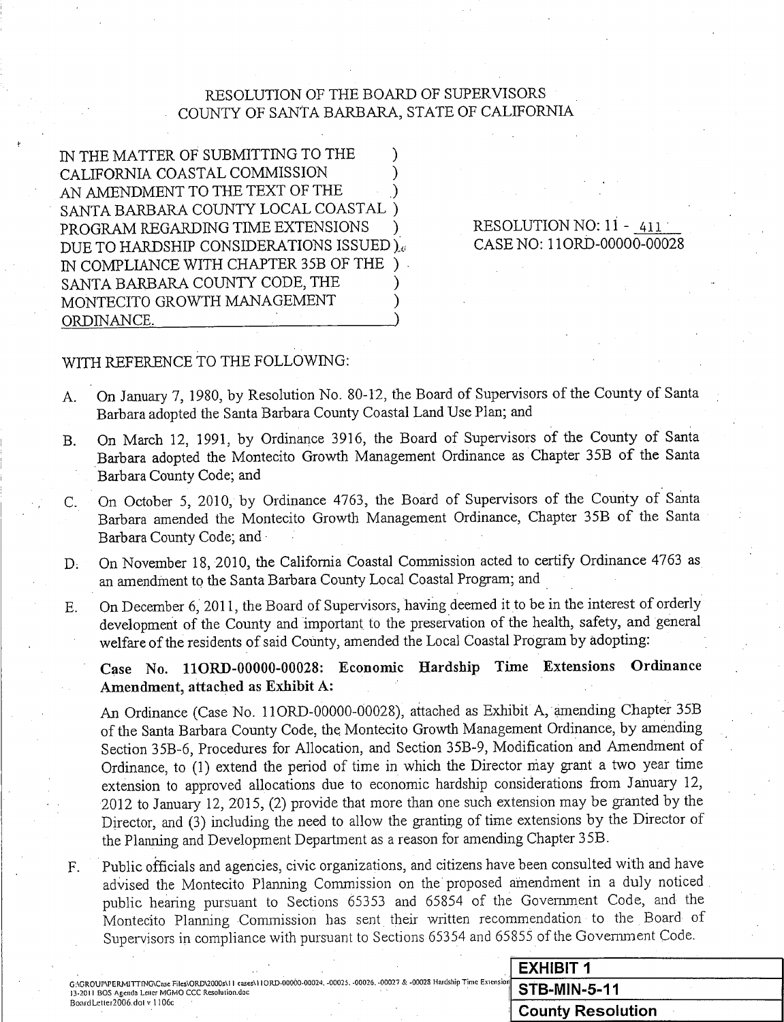# RESOLUTION OF THE BOARD OF SUPERVISORS COUNTY OF SANTA BARBARA, STATE OF CALIFORNIA

IN THE MATTER OF SUBMITTING TO THE CALIFORNIA COASTAL COMMISSION AN AMENDMENT TO THE TEXT OF THE SANTA BARBARA COUNTY LOCAL COASTAL PROGRAM REGARDING TIME EXTENSIONS DUE TO HARDSHIP CONSIDERATIONS ISSUED). IN COMPLIANCE WITH CHAPTER 35B OF THE SANTA BARBARA COUNTY CODE, THE MONTECITO GROWTH MANAGEMENT ORDINANCE.

## RESOLUTION NO: 11 - 411 CASE NO: 11ORD-00000-00028

# WITH REFERENCE TO THE FOLLOWING:

- On January 7, 1980, by Resolution No. 80-12, the Board of Supervisors of the County of Santa A. Barbara adopted the Santa Barbara County Coastal Land Use Plan; and
- On March 12, 1991, by Ordinance 3916, the Board of Supervisors of the County of Santa **B.** Barbara adopted the Montecito Growth Management Ordinance as Chapter 35B of the Santa Barbara County Code; and
- On October 5, 2010, by Ordinance 4763, the Board of Supervisors of the County of Santa  $C_{\cdot}$ Barbara amended the Montecito Growth Management Ordinance, Chapter 35B of the Santa Barbara County Code; and
- On November 18, 2010, the California Coastal Commission acted to certify Ordinance 4763 as  $D<sub>1</sub>$ an amendment to the Santa Barbara County Local Coastal Program; and
- On December 6, 2011, the Board of Supervisors, having deemed it to be in the interest of orderly E. development of the County and important to the preservation of the health, safety, and general welfare of the residents of said County, amended the Local Coastal Program by adopting:

Case No. 11ORD-00000-00028: Economic Hardship Time Extensions Ordinance Amendment, attached as Exhibit A:

An Ordinance (Case No. 11ORD-00000-00028), attached as Exhibit A, amending Chapter 35B of the Santa Barbara County Code, the Montecito Growth Management Ordinance, by amending Section 35B-6, Procedures for Allocation, and Section 35B-9, Modification and Amendment of Ordinance, to (1) extend the period of time in which the Director may grant a two year time extension to approved allocations due to economic hardship considerations from January 12, 2012 to January 12, 2015, (2) provide that more than one such extension may be granted by the Director, and (3) including the need to allow the granting of time extensions by the Director of the Planning and Development Department as a reason for amending Chapter 35B.

Public officials and agencies, civic organizations, and citizens have been consulted with and have F. advised the Montecito Planning Commission on the proposed amendment in a duly noticed public hearing pursuant to Sections 65353 and 65854 of the Government Code, and the Montecito Planning Commission has sent their written recommendation to the Board of Supervisors in compliance with pursuant to Sections 65354 and 65855 of the Government Code.

|                                                                                                                                                                                     | <b>EXHIBIT 1</b>                |
|-------------------------------------------------------------------------------------------------------------------------------------------------------------------------------------|---------------------------------|
| . G:\GROUP\PERMITTING\Case Files\ORD\2000s\11 cases\11ORD-00000-00024, -00025, -00026, -00027 & -00028 Hardship Time Extension<br>13-2011 BOS Agenda Letter MGMO CCC Resolution.doc | <b>STB-MIN-5-11</b>             |
| Board Letter 2006.dol v 1106c                                                                                                                                                       | $^\mathrm{+}$ County Resolution |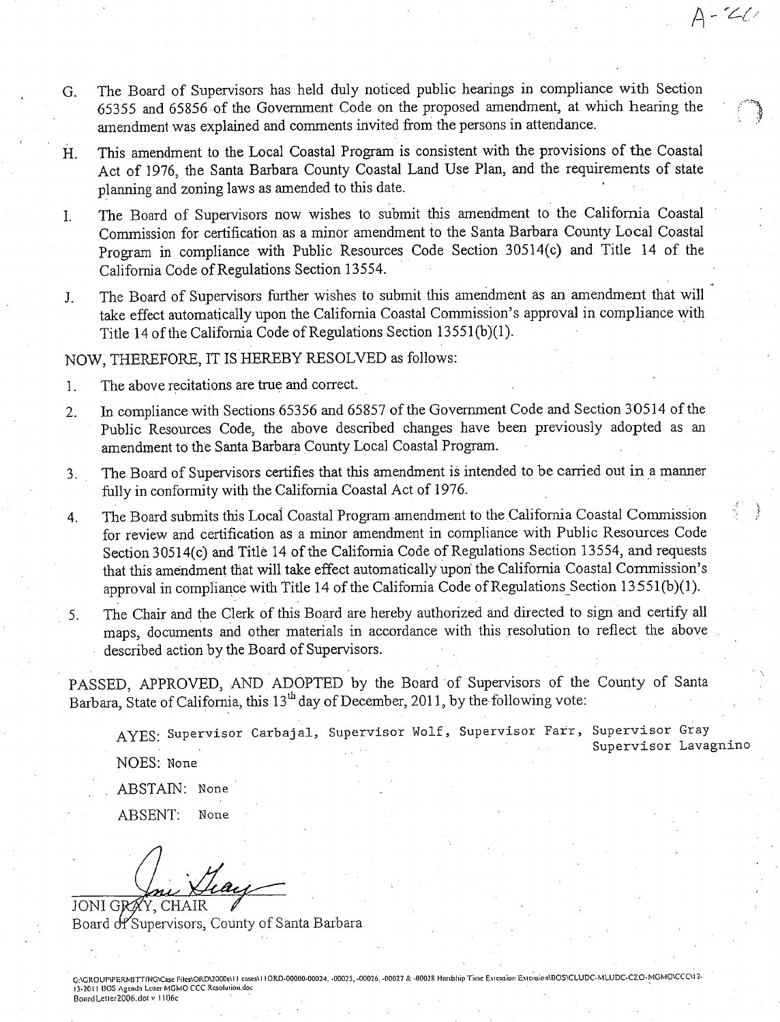The Board of Supervisors has held duly noticed public hearings in compliance with Section G. 65355 and 65856 of the Government Code on the proposed amendment, at which hearing the amendment was explained and comments invited from the persons in attendance.

 $A - 20$ 

- This amendment to the Local Coastal Program is consistent with the provisions of the Coastal Η. Act of 1976, the Santa Barbara County Coastal Land Use Plan, and the requirements of state planning and zoning laws as amended to this date.
- The Board of Supervisors now wishes to submit this amendment to the California Coastal  $\mathbf{L}$ Commission for certification as a minor amendment to the Santa Barbara County Local Coastal Program in compliance with Public Resources Code Section 30514(c) and Title 14 of the California Code of Regulations Section 13554.
- The Board of Supervisors further wishes to submit this amendment as an amendment that will  $J_{-}$ take effect automatically upon the California Coastal Commission's approval in compliance with Title 14 of the California Code of Regulations Section 13551(b)(1).

## NOW. THEREFORE, IT IS HEREBY RESOLVED as follows:

- The above recitations are true and correct.  $1<sub>1</sub>$
- In compliance with Sections 65356 and 65857 of the Government Code and Section 30514 of the  $2.$ Public Resources Code, the above described changes have been previously adopted as an amendment to the Santa Barbara County Local Coastal Program.
- The Board of Supervisors certifies that this amendment is intended to be carried out in a manner 3. fully in conformity with the California Coastal Act of 1976.
- The Board submits this Local Coastal Program amendment to the California Coastal Commission 4. for review and certification as a minor amendment in compliance with Public Resources Code Section 30514(c) and Title 14 of the California Code of Regulations Section 13554, and requests that this amendment that will take effect automatically upon the California Coastal Commission's approval in compliance with Title 14 of the California Code of Regulations Section 13551(b)(1).
- The Chair and the Clerk of this Board are hereby authorized and directed to sign and certify all 5. maps, documents and other materials in accordance with this resolution to reflect the above described action by the Board of Supervisors.

PASSED, APPROVED, AND ADOPTED by the Board of Supervisors of the County of Santa Barbara, State of California, this 13<sup>th</sup> day of December, 2011, by the following vote:

AYES: Supervisor Carbajal, Supervisor Wolf, Supervisor Farr, Supervisor Gray Supervisor Lavagnino

NOES: None

ABSTAIN: None

ABSENT: None

Teach JONI GRAY, CHAIR

Board of Supervisors, County of Santa Barbara

G:\GROUP\PERMITTING\Case Files\ORD\2000s\11 eases\11ORD-00000-00024, -00025, -00026, -00027 & -00028 Hardship Time Extension Extension\BOS\CLUDC-MLUDC-C2O-MGMO\CCC\12-13-2011 BOS Agenda Letter MGMO CCC Resolution.doc BoardLetter2006.dot v 1106c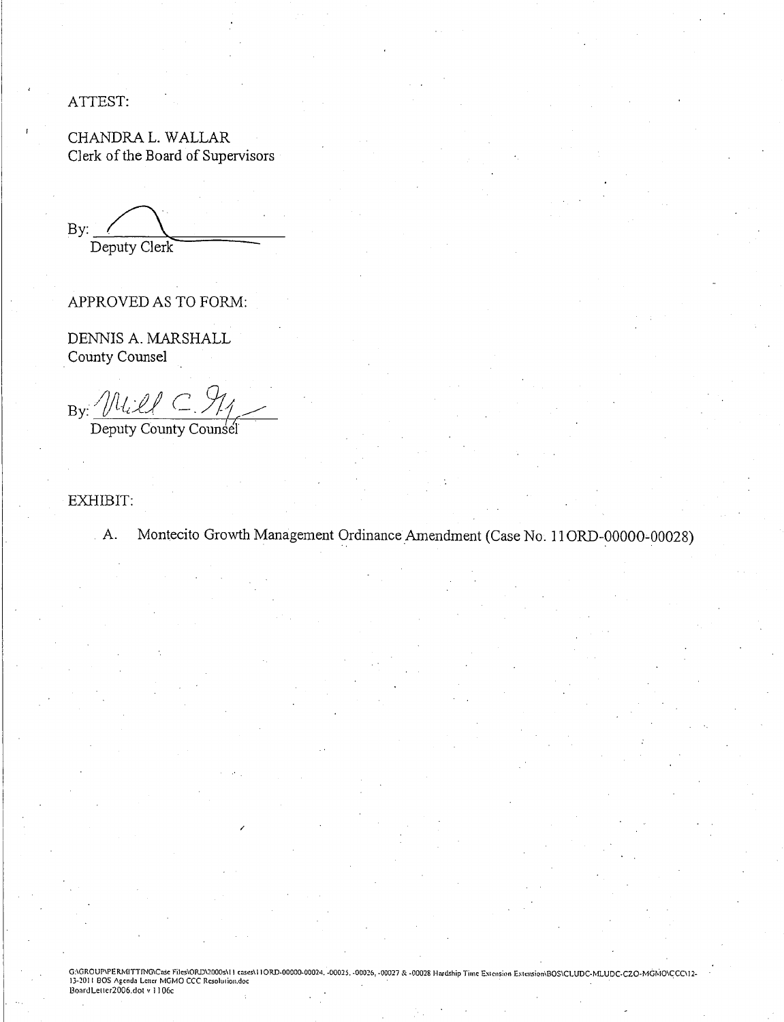ATTEST:

CHANDRA L. WALLAR Clerk of the Board of Supervisors

By: Deputy Clerk

APPROVED AS TO FORM:

DENNIS A. MARSHALL County Counsel

By: Will C. 911

EXHIBIT:

Montecito Growth Management Ordinance Amendment (Case No. 11 ORD-00000-00028)  $A$ .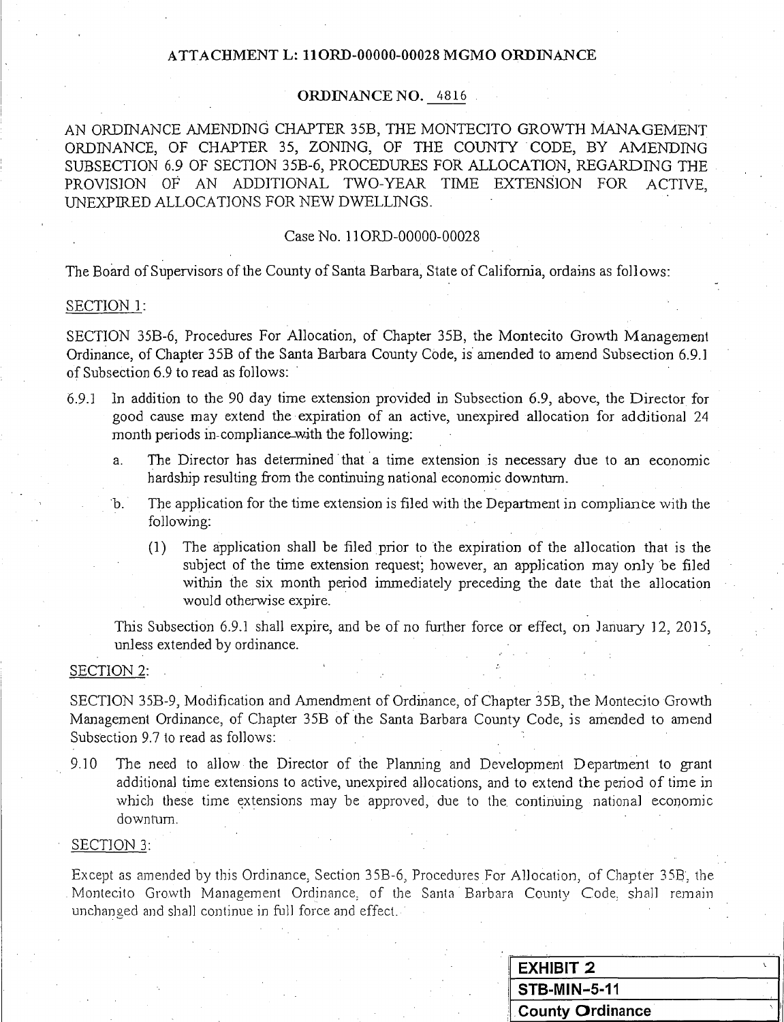## ATTACHMENT L: 11ORD-00000-00028 MGMO ORDINANCE

### **ORDINANCE NO.** 4816

AN ORDINANCE AMENDING CHAPTER 35B, THE MONTECITO GROWTH MANAGEMENT ORDINANCE, OF CHAPTER 35, ZONING, OF THE COUNTY CODE, BY AMENDING SUBSECTION 6.9 OF SECTION 35B-6, PROCEDURES FOR ALLOCATION, REGARDING THE PROVISION OF AN ADDITIONAL TWO-YEAR TIME EXTENSION FOR **ACTIVE** UNEXPIRED ALLOCATIONS FOR NEW DWELL INGS.

### Case No. 11ORD-00000-00028

The Board of Supervisors of the County of Santa Barbara, State of California, ordains as follows:

### SECTION<sub>1:</sub>

SECTION 35B-6, Procedures For Allocation, of Chapter 35B, the Montecito Growth Management Ordinance, of Chapter 35B of the Santa Barbara County Code, is amended to amend Subsection 6.9.1 of Subsection 6.9 to read as follows:

- $6.9.1$ In addition to the 90 day time extension provided in Subsection 6.9, above, the Director for good cause may extend the expiration of an active, unexpired allocation for additional 24 month periods in compliance with the following:
	- The Director has determined that a time extension is necessary due to an economic a. hardship resulting from the continuing national economic downtum.
	- The application for the time extension is filed with the Department in compliance with the b. following:
		- The application shall be filed prior to the expiration of the allocation that is the  $(1)$ subject of the time extension request; however, an application may only be filed within the six month period immediately preceding the date that the allocation would otherwise expire.

This Subsection 6.9.1 shall expire, and be of no further force or effect, on January 12, 2015, unless extended by ordinance.

### **SECTION 2:**

SECTION 35B-9, Modification and Amendment of Ordinance, of Chapter 35B, the Montecito Growth Management Ordinance, of Chapter 35B of the Santa Barbara County Code, is amended to amend Subsection 9.7 to read as follows:

The need to allow the Director of the Planning and Development Department to grant 9.10 additional time extensions to active, unexpired allocations, and to extend the period of time in which these time extensions may be approved, due to the continuing national economic downturn.

#### SECTION 3:

Except as amended by this Ordinance, Section 35B-6, Procedures For Allocation, of Chapter 35B, the Montecito Growth Management Ordinance, of the Santa Barbara County Code, shall remain unchanged and shall continue in full force and effect.

| <b>EXHIBIT 2</b>    |  |
|---------------------|--|
| <b>STB-MIN-5-11</b> |  |
| County Ordinance    |  |